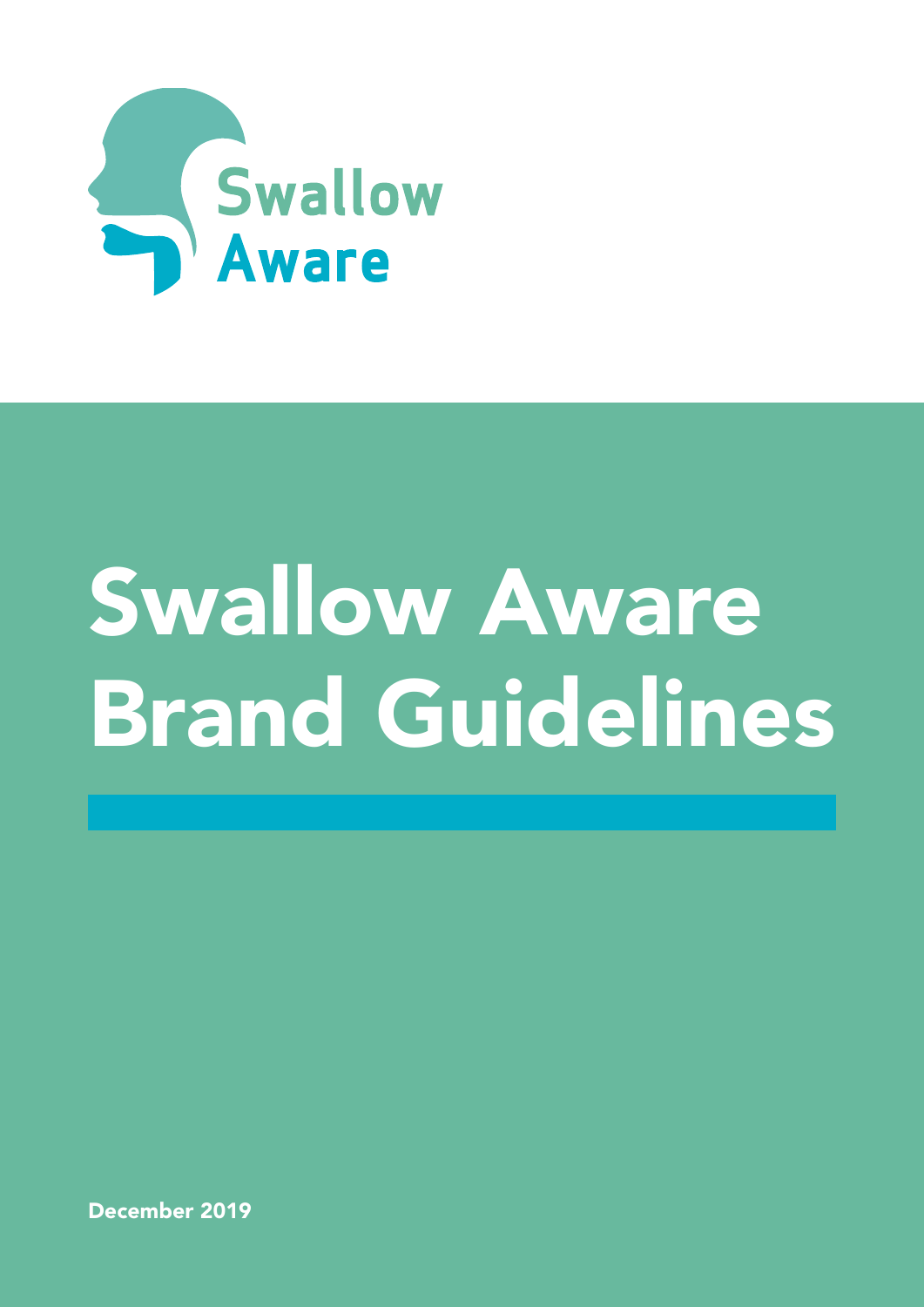

# Swallow Aware Brand Guidelines

December 2019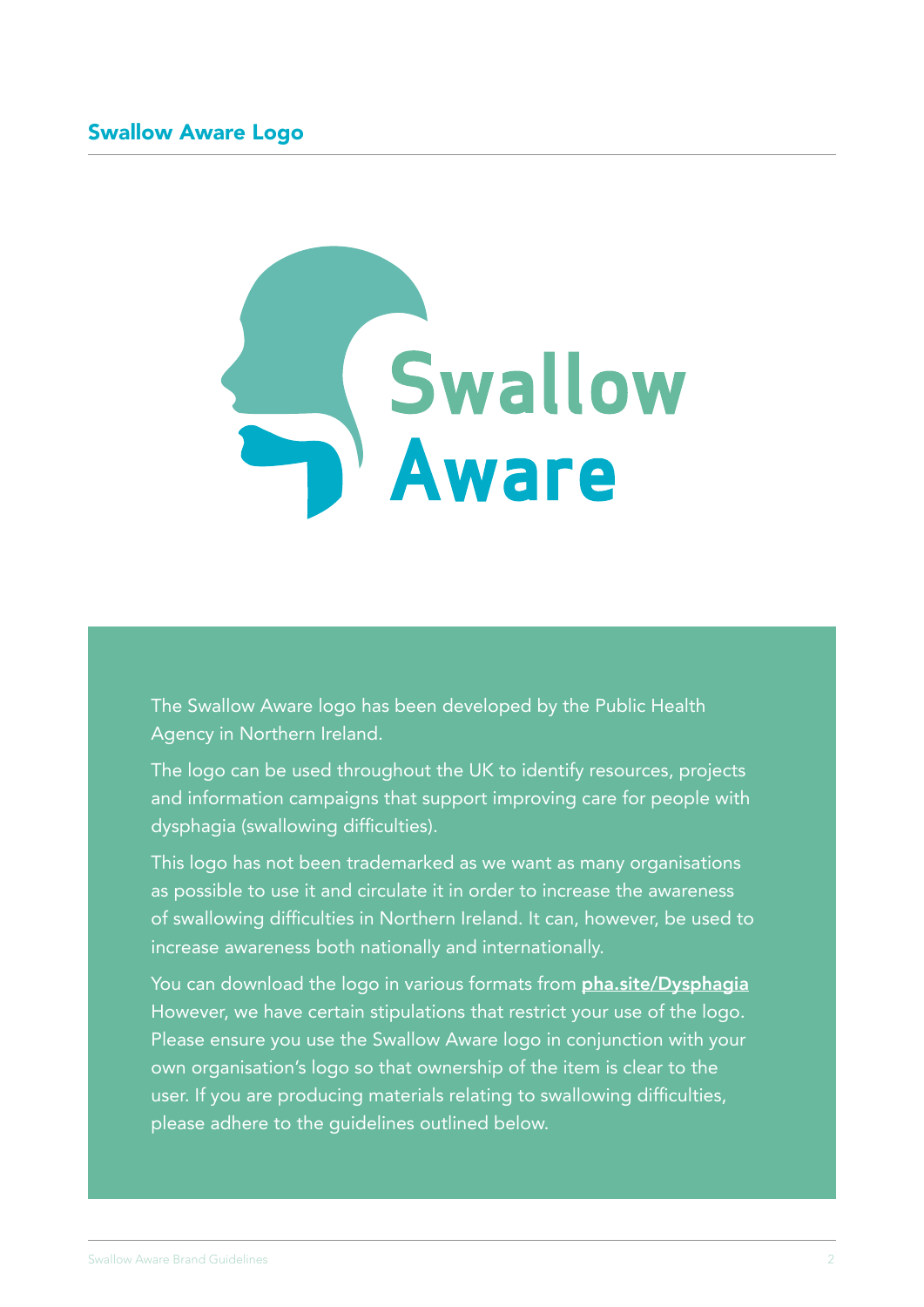

The Swallow Aware logo has been developed by the Public Health Agency in Northern Ireland.

The logo can be used throughout the UK to identify resources, projects and information campaigns that support improving care for people with dysphagia (swallowing difficulties).

This logo has not been trademarked as we want as many organisations as possible to use it and circulate it in order to increase the awareness of swallowing difficulties in Northern Ireland. It can, however, be used to increase awareness both nationally and internationally.

You can download the logo in various formats from **[pha.site/Dysphagia](www.pha.site/Dysphagia)** However, we have certain stipulations that restrict your use of the logo. Please ensure you use the Swallow Aware logo in conjunction with your own organisation's logo so that ownership of the item is clear to the user. If you are producing materials relating to swallowing difficulties, please adhere to the guidelines outlined below.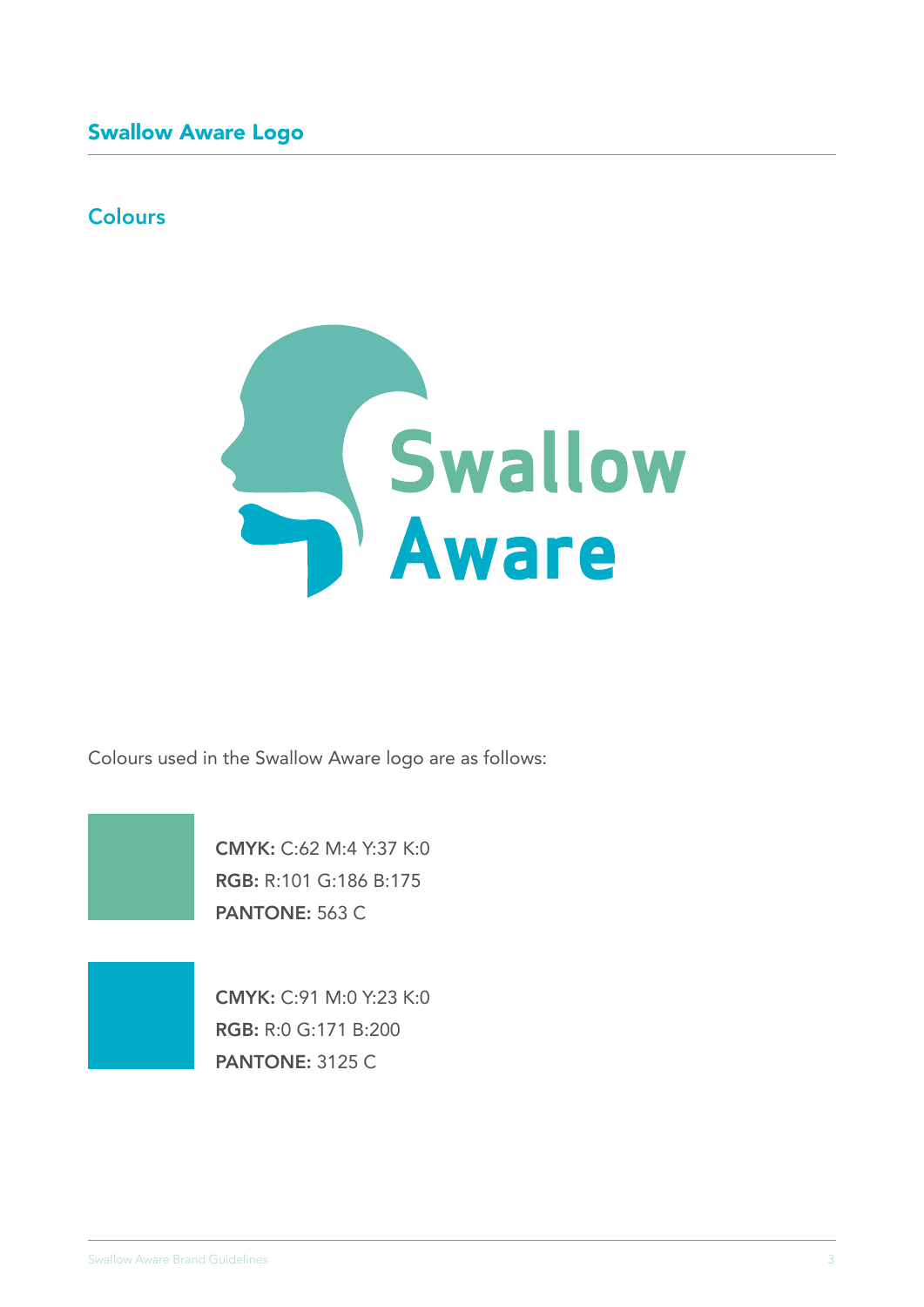# **Colours**



Colours used in the Swallow Aware logo are as follows:

CMYK: C:62 M:4 Y:37 K:0 RGB: R:101 G:186 B:175 PANTONE: 563 C

CMYK: C:91 M:0 Y:23 K:0 RGB: R:0 G:171 B:200 PANTONE: 3125 C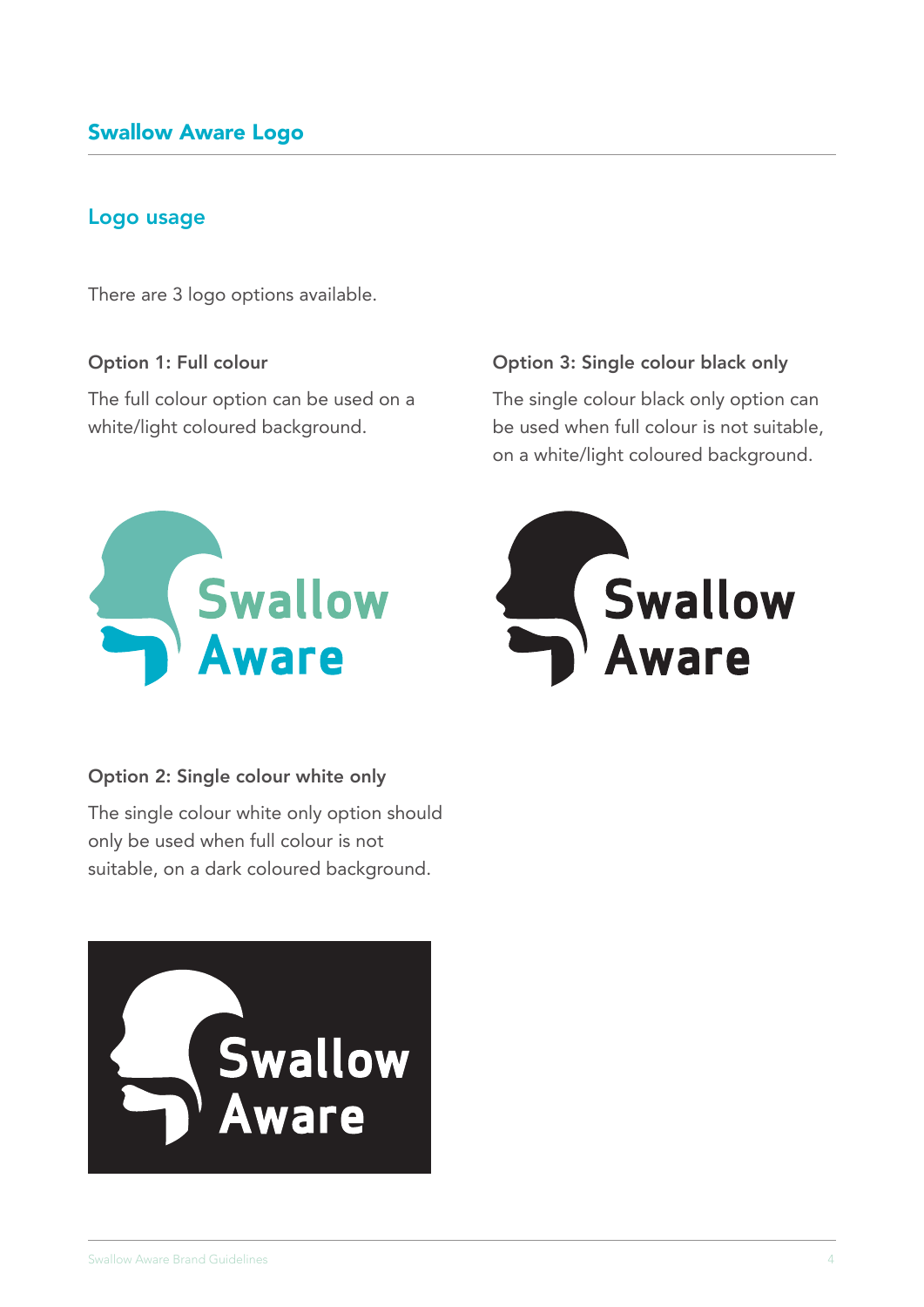#### Logo usage

There are 3 logo options available.

#### Option 1: Full colour

The full colour option can be used on a white/light coloured background.



#### Option 2: Single colour white only

The single colour white only option should only be used when full colour is not suitable, on a dark coloured background.



#### Option 3: Single colour black only

The single colour black only option can be used when full colour is not suitable, on a white/light coloured background.

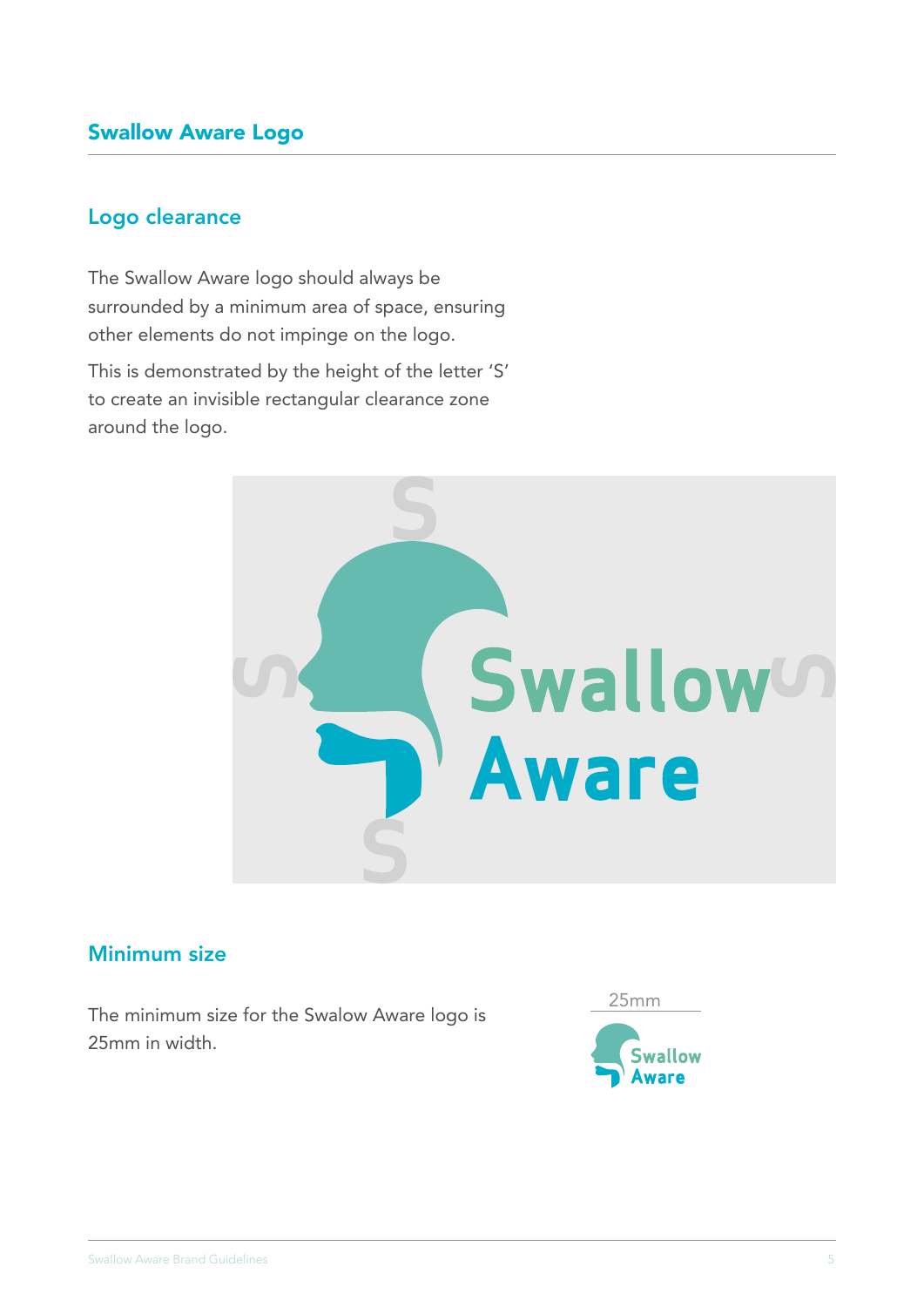#### Logo clearance

The Swallow Aware logo should always be surrounded by a minimum area of space, ensuring other elements do not impinge on the logo.

This is demonstrated by the height of the letter 'S' to create an invisible rectangular clearance zone around the logo.



# Minimum size

The minimum size for the Swalow Aware logo is 25mm in width.

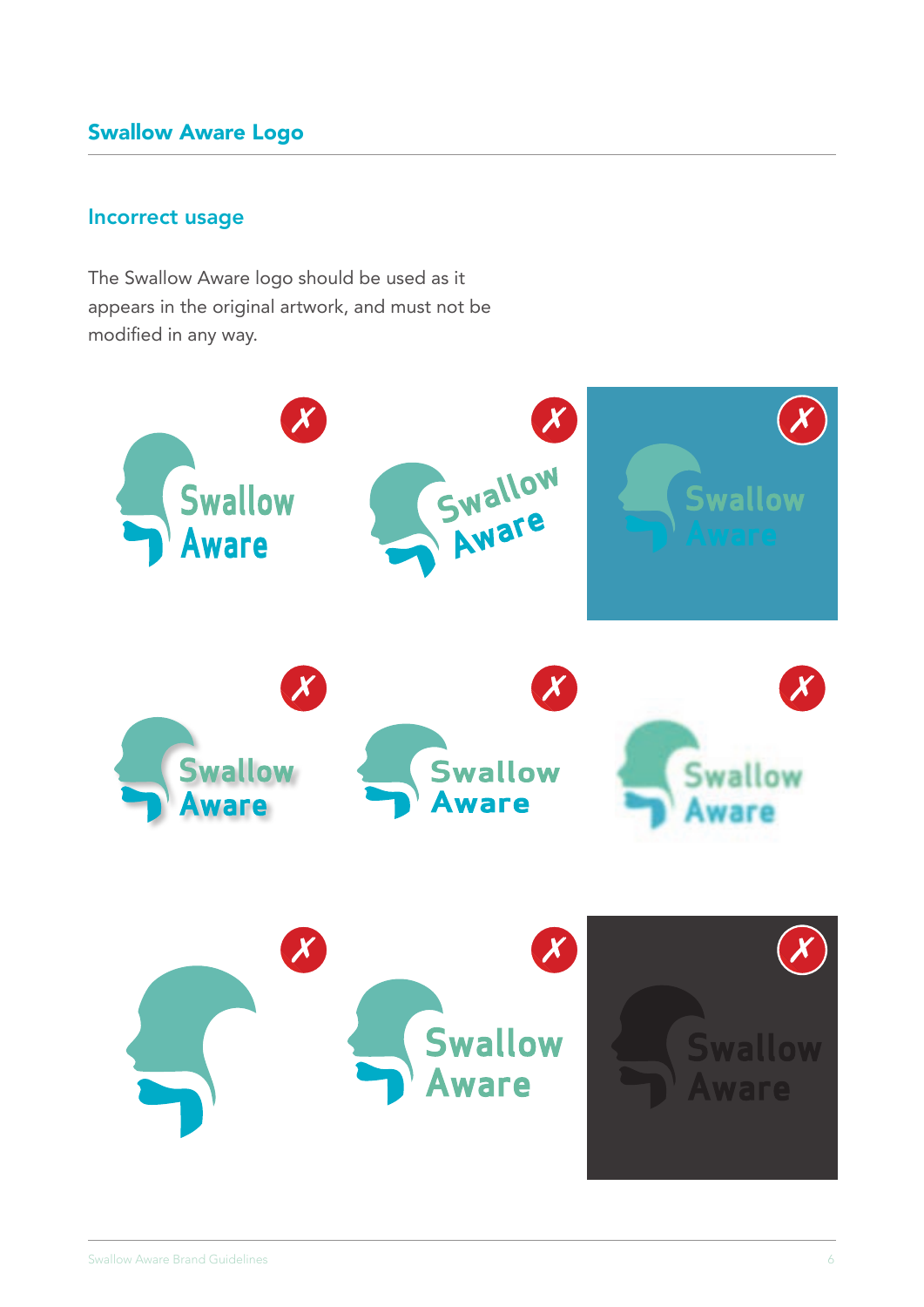#### Incorrect usage

The Swallow Aware logo should be used as it appears in the original artwork, and must not be modified in any way.

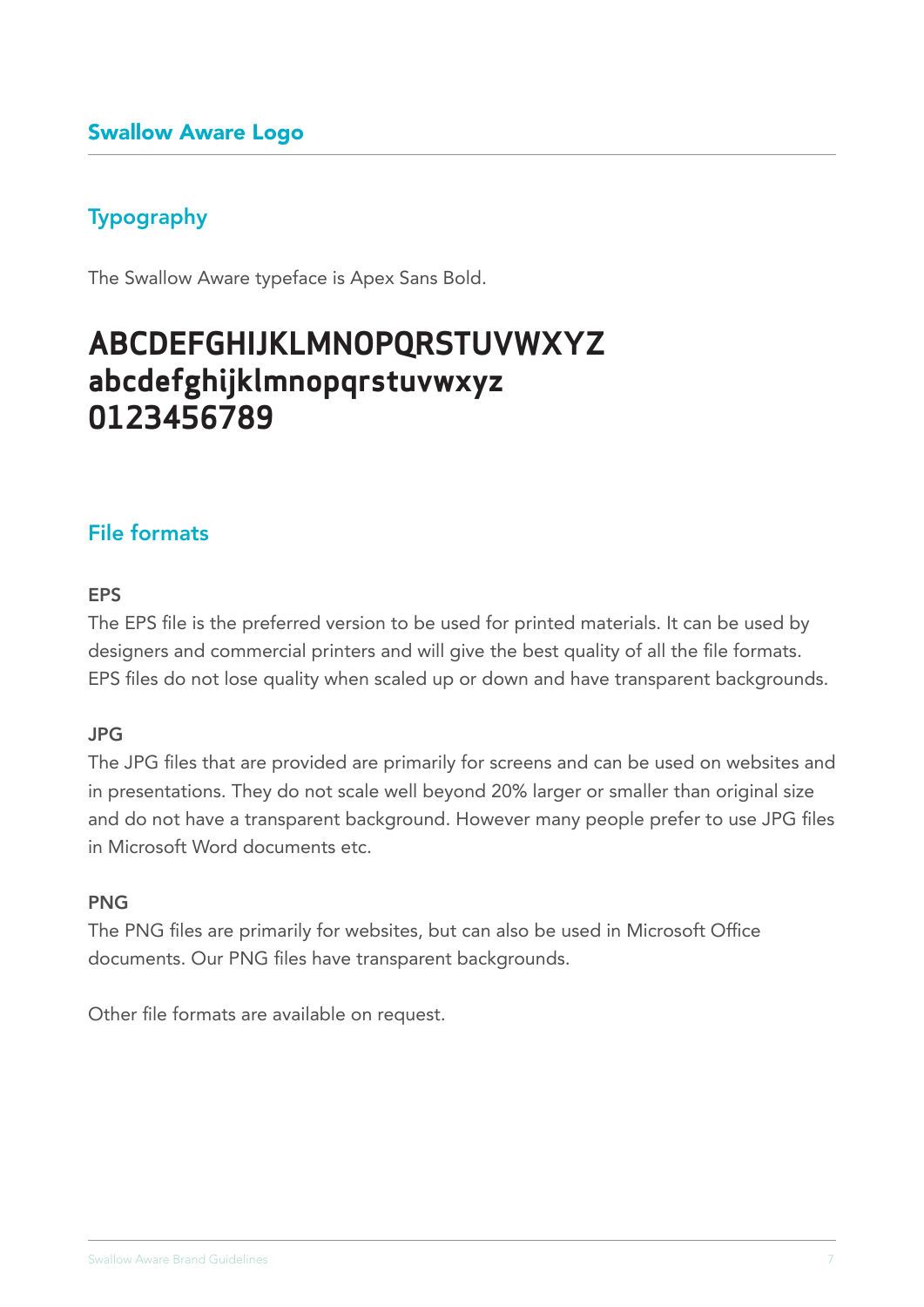# Typography

The Swallow Aware typeface is Apex Sans Bold.

# **ABCDEFGHIJKLMNOPQRSTUVWXYZ abcdefghijklmnopqrstuvwxyz 0123456789**

#### File formats

#### EPS

The EPS file is the preferred version to be used for printed materials. It can be used by designers and commercial printers and will give the best quality of all the file formats. EPS files do not lose quality when scaled up or down and have transparent backgrounds.

#### JPG

The JPG files that are provided are primarily for screens and can be used on websites and in presentations. They do not scale well beyond 20% larger or smaller than original size and do not have a transparent background. However many people prefer to use JPG files in Microsoft Word documents etc.

#### PNG

The PNG files are primarily for websites, but can also be used in Microsoft Office documents. Our PNG files have transparent backgrounds.

Other file formats are available on request.